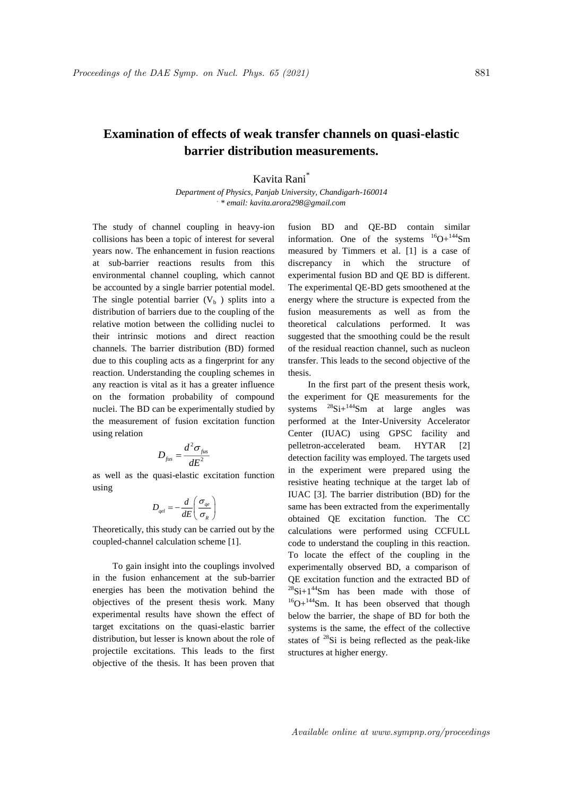## **Examination of effects of weak transfer channels on quasi-elastic barrier distribution measurements.**

Kavita Rani\*

*Department of Physics, Panjab University, Chandigarh-160014 . \* email: kavita.arora298@gmail.com*

The study of channel coupling in heavy-ion collisions has been a topic of interest for several years now. The enhancement in fusion reactions at sub-barrier reactions results from this environmental channel coupling, which cannot be accounted by a single barrier potential model. The single potential barrier  $(V<sub>b</sub>)$  splits into a distribution of barriers due to the coupling of the relative motion between the colliding nuclei to their intrinsic motions and direct reaction channels. The barrier distribution (BD) formed due to this coupling acts as a fingerprint for any reaction. Understanding the coupling schemes in any reaction is vital as it has a greater influence on the formation probability of compound nuclei. The BD can be experimentally studied by the measurement of fusion excitation function using relation

$$
D_{\scriptscriptstyle\it{fus}}=\frac{d^2\sigma_{\scriptscriptstyle\it{fus}}}{dE^2}
$$

as well as the quasi-elastic excitation function using

$$
D_{\tiny{qel}} = -\frac{d}{dE} \left( \frac{\sigma_{\tiny{qe}}}{\sigma_{\tiny{R}}} \right)
$$

Theoretically, this study can be carried out by the coupled-channel calculation scheme [1].

To gain insight into the couplings involved in the fusion enhancement at the sub-barrier energies has been the motivation behind the objectives of the present thesis work. Many experimental results have shown the effect of target excitations on the quasi-elastic barrier distribution, but lesser is known about the role of projectile excitations. This leads to the first objective of the thesis. It has been proven that fusion BD and QE-BD contain similar information. One of the systems  ${}^{16}O+{}^{144}Sm$ measured by Timmers et al. [1] is a case of discrepancy in which the structure of experimental fusion BD and QE BD is different. The experimental QE-BD gets smoothened at the energy where the structure is expected from the fusion measurements as well as from the theoretical calculations performed. It was suggested that the smoothing could be the result of the residual reaction channel, such as nucleon transfer. This leads to the second objective of the thesis.

In the first part of the present thesis work, the experiment for QE measurements for the systems  $^{28}$ Si+ $^{144}$ Sm at large angles was performed at the Inter-University Accelerator Center (IUAC) using GPSC facility and pelletron-accelerated beam. HYTAR [2] detection facility was employed. The targets used in the experiment were prepared using the resistive heating technique at the target lab of IUAC [3]. The barrier distribution (BD) for the same has been extracted from the experimentally obtained QE excitation function. The CC calculations were performed using CCFULL code to understand the coupling in this reaction. To locate the effect of the coupling in the experimentally observed BD, a comparison of QE excitation function and the extracted BD of  $^{28}$ Si+1<sup>44</sup>Sm has been made with those of <sup>16</sup>O+<sup>144</sup>Sm. It has been observed that though below the barrier, the shape of BD for both the systems is the same, the effect of the collective states of  $^{28}$ Si is being reflected as the peak-like structures at higher energy.